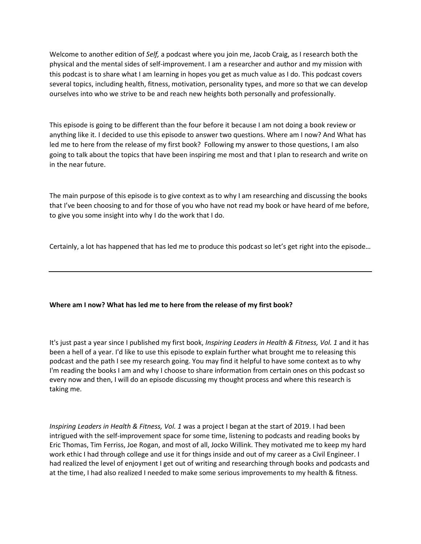Welcome to another edition of *Self,* a podcast where you join me, Jacob Craig, as I research both the physical and the mental sides of self-improvement. I am a researcher and author and my mission with this podcast is to share what I am learning in hopes you get as much value as I do. This podcast covers several topics, including health, fitness, motivation, personality types, and more so that we can develop ourselves into who we strive to be and reach new heights both personally and professionally.

This episode is going to be different than the four before it because I am not doing a book review or anything like it. I decided to use this episode to answer two questions. Where am I now? And What has led me to here from the release of my first book? Following my answer to those questions, I am also going to talk about the topics that have been inspiring me most and that I plan to research and write on in the near future.

The main purpose of this episode is to give context as to why I am researching and discussing the books that I've been choosing to and for those of you who have not read my book or have heard of me before, to give you some insight into why I do the work that I do.

Certainly, a lot has happened that has led me to produce this podcast so let's get right into the episode…

## **Where am I now? What has led me to here from the release of my first book?**

It's just past a year since I published my first book, *Inspiring Leaders in Health & Fitness, Vol. 1* and it has been a hell of a year. I'd like to use this episode to explain further what brought me to releasing this podcast and the path I see my research going. You may find it helpful to have some context as to why I'm reading the books I am and why I choose to share information from certain ones on this podcast so every now and then, I will do an episode discussing my thought process and where this research is taking me.

*Inspiring Leaders in Health & Fitness, Vol. 1* was a project I began at the start of 2019. I had been intrigued with the self-improvement space for some time, listening to podcasts and reading books by Eric Thomas, Tim Ferriss, Joe Rogan, and most of all, Jocko Willink. They motivated me to keep my hard work ethic I had through college and use it for things inside and out of my career as a Civil Engineer. I had realized the level of enjoyment I get out of writing and researching through books and podcasts and at the time, I had also realized I needed to make some serious improvements to my health & fitness.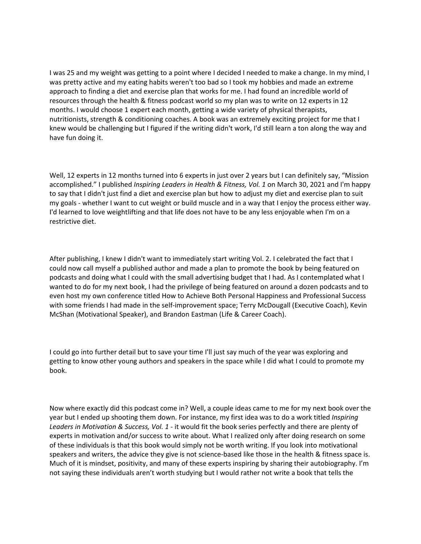I was 25 and my weight was getting to a point where I decided I needed to make a change. In my mind, I was pretty active and my eating habits weren't too bad so I took my hobbies and made an extreme approach to finding a diet and exercise plan that works for me. I had found an incredible world of resources through the health & fitness podcast world so my plan was to write on 12 experts in 12 months. I would choose 1 expert each month, getting a wide variety of physical therapists, nutritionists, strength & conditioning coaches. A book was an extremely exciting project for me that I knew would be challenging but I figured if the writing didn't work, I'd still learn a ton along the way and have fun doing it.

Well, 12 experts in 12 months turned into 6 experts in just over 2 years but I can definitely say, "Mission accomplished." I published *Inspiring Leaders in Health & Fitness, Vol. 1* on March 30, 2021 and I'm happy to say that I didn't just find a diet and exercise plan but how to adjust my diet and exercise plan to suit my goals - whether I want to cut weight or build muscle and in a way that I enjoy the process either way. I'd learned to love weightlifting and that life does not have to be any less enjoyable when I'm on a restrictive diet.

After publishing, I knew I didn't want to immediately start writing Vol. 2. I celebrated the fact that I could now call myself a published author and made a plan to promote the book by being featured on podcasts and doing what I could with the small advertising budget that I had. As I contemplated what I wanted to do for my next book, I had the privilege of being featured on around a dozen podcasts and to even host my own conference titled How to Achieve Both Personal Happiness and Professional Success with some friends I had made in the self-improvement space; Terry McDougall (Executive Coach), Kevin McShan (Motivational Speaker), and Brandon Eastman (Life & Career Coach).

I could go into further detail but to save your time I'll just say much of the year was exploring and getting to know other young authors and speakers in the space while I did what I could to promote my book.

Now where exactly did this podcast come in? Well, a couple ideas came to me for my next book over the year but I ended up shooting them down. For instance, my first idea was to do a work titled *Inspiring Leaders in Motivation & Success, Vol. 1* - it would fit the book series perfectly and there are plenty of experts in motivation and/or success to write about. What I realized only after doing research on some of these individuals is that this book would simply not be worth writing. If you look into motivational speakers and writers, the advice they give is not science-based like those in the health & fitness space is. Much of it is mindset, positivity, and many of these experts inspiring by sharing their autobiography. I'm not saying these individuals aren't worth studying but I would rather not write a book that tells the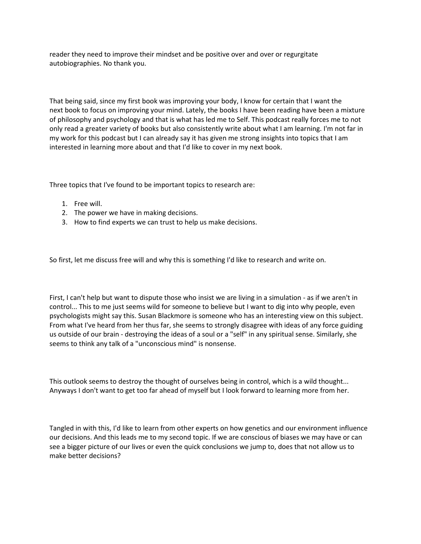reader they need to improve their mindset and be positive over and over or regurgitate autobiographies. No thank you.

That being said, since my first book was improving your body, I know for certain that I want the next book to focus on improving your mind. Lately, the books I have been reading have been a mixture of philosophy and psychology and that is what has led me to Self. This podcast really forces me to not only read a greater variety of books but also consistently write about what I am learning. I'm not far in my work for this podcast but I can already say it has given me strong insights into topics that I am interested in learning more about and that I'd like to cover in my next book.

Three topics that I've found to be important topics to research are:

- 1. Free will.
- 2. The power we have in making decisions.
- 3. How to find experts we can trust to help us make decisions.

So first, let me discuss free will and why this is something I'd like to research and write on.

First, I can't help but want to dispute those who insist we are living in a simulation - as if we aren't in control... This to me just seems wild for someone to believe but I want to dig into why people, even psychologists might say this. Susan Blackmore is someone who has an interesting view on this subject. From what I've heard from her thus far, she seems to strongly disagree with ideas of any force guiding us outside of our brain - destroying the ideas of a soul or a "self" in any spiritual sense. Similarly, she seems to think any talk of a "unconscious mind" is nonsense.

This outlook seems to destroy the thought of ourselves being in control, which is a wild thought... Anyways I don't want to get too far ahead of myself but I look forward to learning more from her.

Tangled in with this, I'd like to learn from other experts on how genetics and our environment influence our decisions. And this leads me to my second topic. If we are conscious of biases we may have or can see a bigger picture of our lives or even the quick conclusions we jump to, does that not allow us to make better decisions?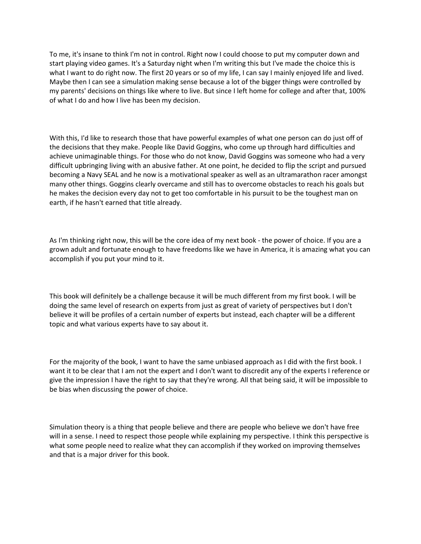To me, it's insane to think I'm not in control. Right now I could choose to put my computer down and start playing video games. It's a Saturday night when I'm writing this but I've made the choice this is what I want to do right now. The first 20 years or so of my life, I can say I mainly enjoyed life and lived. Maybe then I can see a simulation making sense because a lot of the bigger things were controlled by my parents' decisions on things like where to live. But since I left home for college and after that, 100% of what I do and how I live has been my decision.

With this, I'd like to research those that have powerful examples of what one person can do just off of the decisions that they make. People like David Goggins, who come up through hard difficulties and achieve unimaginable things. For those who do not know, David Goggins was someone who had a very difficult upbringing living with an abusive father. At one point, he decided to flip the script and pursued becoming a Navy SEAL and he now is a motivational speaker as well as an ultramarathon racer amongst many other things. Goggins clearly overcame and still has to overcome obstacles to reach his goals but he makes the decision every day not to get too comfortable in his pursuit to be the toughest man on earth, if he hasn't earned that title already.

As I'm thinking right now, this will be the core idea of my next book - the power of choice. If you are a grown adult and fortunate enough to have freedoms like we have in America, it is amazing what you can accomplish if you put your mind to it.

This book will definitely be a challenge because it will be much different from my first book. I will be doing the same level of research on experts from just as great of variety of perspectives but I don't believe it will be profiles of a certain number of experts but instead, each chapter will be a different topic and what various experts have to say about it.

For the majority of the book, I want to have the same unbiased approach as I did with the first book. I want it to be clear that I am not the expert and I don't want to discredit any of the experts I reference or give the impression I have the right to say that they're wrong. All that being said, it will be impossible to be bias when discussing the power of choice.

Simulation theory is a thing that people believe and there are people who believe we don't have free will in a sense. I need to respect those people while explaining my perspective. I think this perspective is what some people need to realize what they can accomplish if they worked on improving themselves and that is a major driver for this book.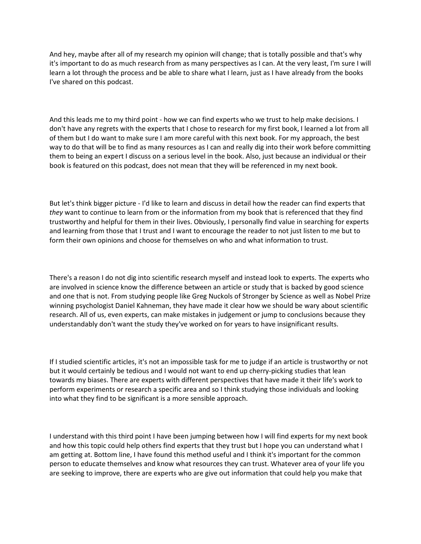And hey, maybe after all of my research my opinion will change; that is totally possible and that's why it's important to do as much research from as many perspectives as I can. At the very least, I'm sure I will learn a lot through the process and be able to share what I learn, just as I have already from the books I've shared on this podcast.

And this leads me to my third point - how we can find experts who we trust to help make decisions. I don't have any regrets with the experts that I chose to research for my first book, I learned a lot from all of them but I do want to make sure I am more careful with this next book. For my approach, the best way to do that will be to find as many resources as I can and really dig into their work before committing them to being an expert I discuss on a serious level in the book. Also, just because an individual or their book is featured on this podcast, does not mean that they will be referenced in my next book.

But let's think bigger picture - I'd like to learn and discuss in detail how the reader can find experts that *they* want to continue to learn from or the information from my book that is referenced that they find trustworthy and helpful for them in their lives. Obviously, I personally find value in searching for experts and learning from those that I trust and I want to encourage the reader to not just listen to me but to form their own opinions and choose for themselves on who and what information to trust.

There's a reason I do not dig into scientific research myself and instead look to experts. The experts who are involved in science know the difference between an article or study that is backed by good science and one that is not. From studying people like Greg Nuckols of Stronger by Science as well as Nobel Prize winning psychologist Daniel Kahneman, they have made it clear how we should be wary about scientific research. All of us, even experts, can make mistakes in judgement or jump to conclusions because they understandably don't want the study they've worked on for years to have insignificant results.

If I studied scientific articles, it's not an impossible task for me to judge if an article is trustworthy or not but it would certainly be tedious and I would not want to end up cherry-picking studies that lean towards my biases. There are experts with different perspectives that have made it their life's work to perform experiments or research a specific area and so I think studying those individuals and looking into what they find to be significant is a more sensible approach.

I understand with this third point I have been jumping between how I will find experts for my next book and how this topic could help others find experts that they trust but I hope you can understand what I am getting at. Bottom line, I have found this method useful and I think it's important for the common person to educate themselves and know what resources they can trust. Whatever area of your life you are seeking to improve, there are experts who are give out information that could help you make that